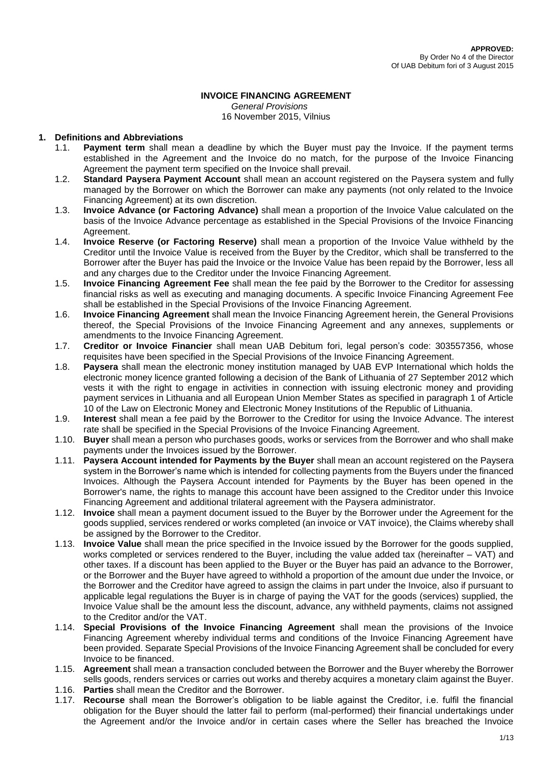# **INVOICE FINANCING AGREEMENT**

*General Provisions* 16 November 2015, Vilnius

### **1. Definitions and Abbreviations**

- 1.1. **Payment term** shall mean a deadline by which the Buyer must pay the Invoice. If the payment terms established in the Agreement and the Invoice do no match, for the purpose of the Invoice Financing Agreement the payment term specified on the Invoice shall prevail.
- 1.2. **Standard Paysera Payment Account** shall mean an account registered on the Paysera system and fully managed by the Borrower on which the Borrower can make any payments (not only related to the Invoice Financing Agreement) at its own discretion.
- 1.3. **Invoice Advance (or Factoring Advance)** shall mean a proportion of the Invoice Value calculated on the basis of the Invoice Advance percentage as established in the Special Provisions of the Invoice Financing Agreement.
- 1.4. **Invoice Reserve (or Factoring Reserve)** shall mean a proportion of the Invoice Value withheld by the Creditor until the Invoice Value is received from the Buyer by the Creditor, which shall be transferred to the Borrower after the Buyer has paid the Invoice or the Invoice Value has been repaid by the Borrower, less all and any charges due to the Creditor under the Invoice Financing Agreement.
- 1.5. **Invoice Financing Agreement Fee** shall mean the fee paid by the Borrower to the Creditor for assessing financial risks as well as executing and managing documents. A specific Invoice Financing Agreement Fee shall be established in the Special Provisions of the Invoice Financing Agreement.
- 1.6. **Invoice Financing Agreement** shall mean the Invoice Financing Agreement herein, the General Provisions thereof, the Special Provisions of the Invoice Financing Agreement and any annexes, supplements or amendments to the Invoice Financing Agreement.
- 1.7. **Creditor or Invoice Financier** shall mean UAB Debitum fori, legal person's code: 303557356, whose requisites have been specified in the Special Provisions of the Invoice Financing Agreement.
- 1.8. **Paysera** shall mean the electronic money institution managed by UAB EVP International which holds the electronic money licence granted following a decision of the Bank of Lithuania of 27 September 2012 which vests it with the right to engage in activities in connection with issuing electronic money and providing payment services in Lithuania and all European Union Member States as specified in paragraph 1 of Article 10 of the Law on Electronic Money and Electronic Money Institutions of the Republic of Lithuania.
- 1.9. **Interest** shall mean a fee paid by the Borrower to the Creditor for using the Invoice Advance. The interest rate shall be specified in the Special Provisions of the Invoice Financing Agreement.
- 1.10. **Buyer** shall mean a person who purchases goods, works or services from the Borrower and who shall make payments under the Invoices issued by the Borrower.
- 1.11. **Paysera Account intended for Payments by the Buyer** shall mean an account registered on the Paysera system in the Borrower's name which is intended for collecting payments from the Buyers under the financed Invoices. Although the Paysera Account intended for Payments by the Buyer has been opened in the Borrower's name, the rights to manage this account have been assigned to the Creditor under this Invoice Financing Agreement and additional trilateral agreement with the Paysera administrator.
- 1.12. **Invoice** shall mean a payment document issued to the Buyer by the Borrower under the Agreement for the goods supplied, services rendered or works completed (an invoice or VAT invoice), the Claims whereby shall be assigned by the Borrower to the Creditor.
- 1.13. **Invoice Value** shall mean the price specified in the Invoice issued by the Borrower for the goods supplied, works completed or services rendered to the Buyer, including the value added tax (hereinafter – VAT) and other taxes. If a discount has been applied to the Buyer or the Buyer has paid an advance to the Borrower, or the Borrower and the Buyer have agreed to withhold a proportion of the amount due under the Invoice, or the Borrower and the Creditor have agreed to assign the claims in part under the Invoice, also if pursuant to applicable legal regulations the Buyer is in charge of paying the VAT for the goods (services) supplied, the Invoice Value shall be the amount less the discount, advance, any withheld payments, claims not assigned to the Creditor and/or the VAT.
- 1.14. **Special Provisions of the Invoice Financing Agreement** shall mean the provisions of the Invoice Financing Agreement whereby individual terms and conditions of the Invoice Financing Agreement have been provided. Separate Special Provisions of the Invoice Financing Agreement shall be concluded for every Invoice to be financed.
- 1.15. **Agreement** shall mean a transaction concluded between the Borrower and the Buyer whereby the Borrower sells goods, renders services or carries out works and thereby acquires a monetary claim against the Buyer.
- 1.16. **Parties** shall mean the Creditor and the Borrower.
- 1.17. **Recourse** shall mean the Borrower's obligation to be liable against the Creditor, i.e. fulfil the financial obligation for the Buyer should the latter fail to perform (mal-performed) their financial undertakings under the Agreement and/or the Invoice and/or in certain cases where the Seller has breached the Invoice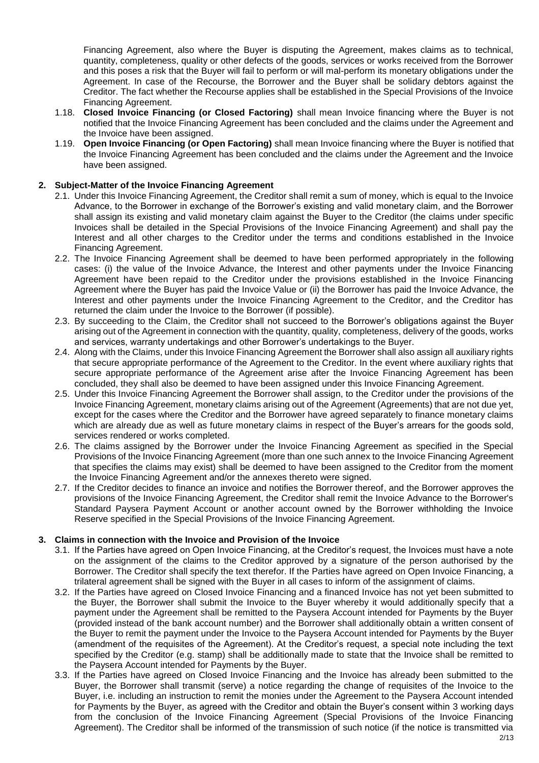Financing Agreement, also where the Buyer is disputing the Agreement, makes claims as to technical, quantity, completeness, quality or other defects of the goods, services or works received from the Borrower and this poses a risk that the Buyer will fail to perform or will mal-perform its monetary obligations under the Agreement. In case of the Recourse, the Borrower and the Buyer shall be solidary debtors against the Creditor. The fact whether the Recourse applies shall be established in the Special Provisions of the Invoice Financing Agreement.

- 1.18. **Closed Invoice Financing (or Closed Factoring)** shall mean Invoice financing where the Buyer is not notified that the Invoice Financing Agreement has been concluded and the claims under the Agreement and the Invoice have been assigned.
- 1.19. **Open Invoice Financing (or Open Factoring)** shall mean Invoice financing where the Buyer is notified that the Invoice Financing Agreement has been concluded and the claims under the Agreement and the Invoice have been assigned.

## **2. Subject-Matter of the Invoice Financing Agreement**

- 2.1. Under this Invoice Financing Agreement, the Creditor shall remit a sum of money, which is equal to the Invoice Advance, to the Borrower in exchange of the Borrower's existing and valid monetary claim, and the Borrower shall assign its existing and valid monetary claim against the Buyer to the Creditor (the claims under specific Invoices shall be detailed in the Special Provisions of the Invoice Financing Agreement) and shall pay the Interest and all other charges to the Creditor under the terms and conditions established in the Invoice Financing Agreement.
- 2.2. The Invoice Financing Agreement shall be deemed to have been performed appropriately in the following cases: (i) the value of the Invoice Advance, the Interest and other payments under the Invoice Financing Agreement have been repaid to the Creditor under the provisions established in the Invoice Financing Agreement where the Buyer has paid the Invoice Value or (ii) the Borrower has paid the Invoice Advance, the Interest and other payments under the Invoice Financing Agreement to the Creditor, and the Creditor has returned the claim under the Invoice to the Borrower (if possible).
- 2.3. By succeeding to the Claim, the Creditor shall not succeed to the Borrower's obligations against the Buyer arising out of the Agreement in connection with the quantity, quality, completeness, delivery of the goods, works and services, warranty undertakings and other Borrower's undertakings to the Buyer.
- 2.4. Along with the Claims, under this Invoice Financing Agreement the Borrower shall also assign all auxiliary rights that secure appropriate performance of the Agreement to the Creditor. In the event where auxiliary rights that secure appropriate performance of the Agreement arise after the Invoice Financing Agreement has been concluded, they shall also be deemed to have been assigned under this Invoice Financing Agreement.
- 2.5. Under this Invoice Financing Agreement the Borrower shall assign, to the Creditor under the provisions of the Invoice Financing Agreement, monetary claims arising out of the Agreement (Agreements) that are not due yet, except for the cases where the Creditor and the Borrower have agreed separately to finance monetary claims which are already due as well as future monetary claims in respect of the Buyer's arrears for the goods sold, services rendered or works completed.
- 2.6. The claims assigned by the Borrower under the Invoice Financing Agreement as specified in the Special Provisions of the Invoice Financing Agreement (more than one such annex to the Invoice Financing Agreement that specifies the claims may exist) shall be deemed to have been assigned to the Creditor from the moment the Invoice Financing Agreement and/or the annexes thereto were signed.
- 2.7. If the Creditor decides to finance an invoice and notifies the Borrower thereof, and the Borrower approves the provisions of the Invoice Financing Agreement, the Creditor shall remit the Invoice Advance to the Borrower's Standard Paysera Payment Account or another account owned by the Borrower withholding the Invoice Reserve specified in the Special Provisions of the Invoice Financing Agreement.

### **3. Claims in connection with the Invoice and Provision of the Invoice**

- 3.1. If the Parties have agreed on Open Invoice Financing, at the Creditor's request, the Invoices must have a note on the assignment of the claims to the Creditor approved by a signature of the person authorised by the Borrower. The Creditor shall specify the text therefor. If the Parties have agreed on Open Invoice Financing, a trilateral agreement shall be signed with the Buyer in all cases to inform of the assignment of claims.
- 3.2. If the Parties have agreed on Closed Invoice Financing and a financed Invoice has not yet been submitted to the Buyer, the Borrower shall submit the Invoice to the Buyer whereby it would additionally specify that a payment under the Agreement shall be remitted to the Paysera Account intended for Payments by the Buyer (provided instead of the bank account number) and the Borrower shall additionally obtain a written consent of the Buyer to remit the payment under the Invoice to the Paysera Account intended for Payments by the Buyer (amendment of the requisites of the Agreement). At the Creditor's request, a special note including the text specified by the Creditor (e.g. stamp) shall be additionally made to state that the Invoice shall be remitted to the Paysera Account intended for Payments by the Buyer.
- 3.3. If the Parties have agreed on Closed Invoice Financing and the Invoice has already been submitted to the Buyer, the Borrower shall transmit (serve) a notice regarding the change of requisites of the Invoice to the Buyer, i.e. including an instruction to remit the monies under the Agreement to the Paysera Account intended for Payments by the Buyer, as agreed with the Creditor and obtain the Buyer's consent within 3 working days from the conclusion of the Invoice Financing Agreement (Special Provisions of the Invoice Financing Agreement). The Creditor shall be informed of the transmission of such notice (if the notice is transmitted via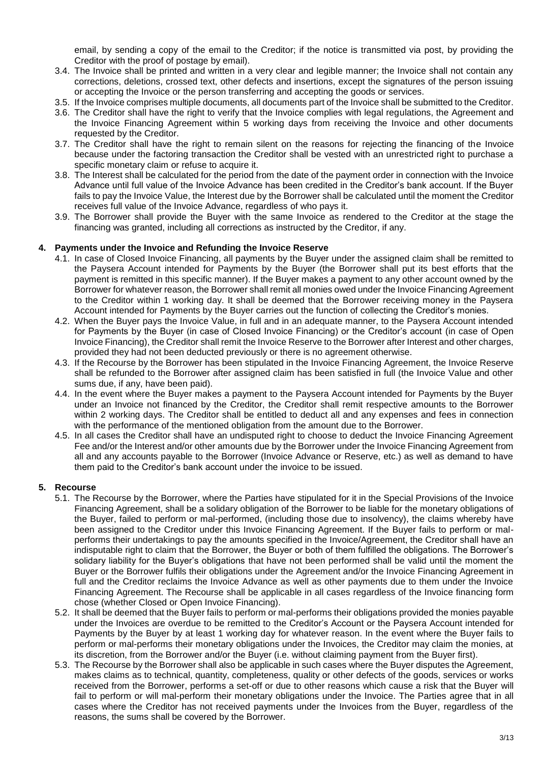email, by sending a copy of the email to the Creditor; if the notice is transmitted via post, by providing the Creditor with the proof of postage by email).

- 3.4. The Invoice shall be printed and written in a very clear and legible manner; the Invoice shall not contain any corrections, deletions, crossed text, other defects and insertions, except the signatures of the person issuing or accepting the Invoice or the person transferring and accepting the goods or services.
- 3.5. If the Invoice comprises multiple documents, all documents part of the Invoice shall be submitted to the Creditor.
- 3.6. The Creditor shall have the right to verify that the Invoice complies with legal regulations, the Agreement and the Invoice Financing Agreement within 5 working days from receiving the Invoice and other documents requested by the Creditor.
- 3.7. The Creditor shall have the right to remain silent on the reasons for rejecting the financing of the Invoice because under the factoring transaction the Creditor shall be vested with an unrestricted right to purchase a specific monetary claim or refuse to acquire it.
- 3.8. The Interest shall be calculated for the period from the date of the payment order in connection with the Invoice Advance until full value of the Invoice Advance has been credited in the Creditor's bank account. If the Buyer fails to pay the Invoice Value, the Interest due by the Borrower shall be calculated until the moment the Creditor receives full value of the Invoice Advance, regardless of who pays it.
- 3.9. The Borrower shall provide the Buyer with the same Invoice as rendered to the Creditor at the stage the financing was granted, including all corrections as instructed by the Creditor, if any.

### **4. Payments under the Invoice and Refunding the Invoice Reserve**

- 4.1. In case of Closed Invoice Financing, all payments by the Buyer under the assigned claim shall be remitted to the Paysera Account intended for Payments by the Buyer (the Borrower shall put its best efforts that the payment is remitted in this specific manner). If the Buyer makes a payment to any other account owned by the Borrower for whatever reason, the Borrower shall remit all monies owed under the Invoice Financing Agreement to the Creditor within 1 working day. It shall be deemed that the Borrower receiving money in the Paysera Account intended for Payments by the Buyer carries out the function of collecting the Creditor's monies.
- 4.2. When the Buyer pays the Invoice Value, in full and in an adequate manner, to the Paysera Account intended for Payments by the Buyer (in case of Closed Invoice Financing) or the Creditor's account (in case of Open Invoice Financing), the Creditor shall remit the Invoice Reserve to the Borrower after Interest and other charges, provided they had not been deducted previously or there is no agreement otherwise.
- 4.3. If the Recourse by the Borrower has been stipulated in the Invoice Financing Agreement, the Invoice Reserve shall be refunded to the Borrower after assigned claim has been satisfied in full (the Invoice Value and other sums due, if any, have been paid).
- 4.4. In the event where the Buyer makes a payment to the Paysera Account intended for Payments by the Buyer under an Invoice not financed by the Creditor, the Creditor shall remit respective amounts to the Borrower within 2 working days. The Creditor shall be entitled to deduct all and any expenses and fees in connection with the performance of the mentioned obligation from the amount due to the Borrower.
- 4.5. In all cases the Creditor shall have an undisputed right to choose to deduct the Invoice Financing Agreement Fee and/or the Interest and/or other amounts due by the Borrower under the Invoice Financing Agreement from all and any accounts payable to the Borrower (Invoice Advance or Reserve, etc.) as well as demand to have them paid to the Creditor's bank account under the invoice to be issued.

### **5. Recourse**

- 5.1. The Recourse by the Borrower, where the Parties have stipulated for it in the Special Provisions of the Invoice Financing Agreement, shall be a solidary obligation of the Borrower to be liable for the monetary obligations of the Buyer, failed to perform or mal-performed, (including those due to insolvency), the claims whereby have been assigned to the Creditor under this Invoice Financing Agreement. If the Buyer fails to perform or malperforms their undertakings to pay the amounts specified in the Invoice/Agreement, the Creditor shall have an indisputable right to claim that the Borrower, the Buyer or both of them fulfilled the obligations. The Borrower's solidary liability for the Buyer's obligations that have not been performed shall be valid until the moment the Buyer or the Borrower fulfils their obligations under the Agreement and/or the Invoice Financing Agreement in full and the Creditor reclaims the Invoice Advance as well as other payments due to them under the Invoice Financing Agreement. The Recourse shall be applicable in all cases regardless of the Invoice financing form chose (whether Closed or Open Invoice Financing).
- 5.2. It shall be deemed that the Buyer fails to perform or mal-performs their obligations provided the monies payable under the Invoices are overdue to be remitted to the Creditor's Account or the Paysera Account intended for Payments by the Buyer by at least 1 working day for whatever reason. In the event where the Buyer fails to perform or mal-performs their monetary obligations under the Invoices, the Creditor may claim the monies, at its discretion, from the Borrower and/or the Buyer (i.e. without claiming payment from the Buyer first).
- 5.3. The Recourse by the Borrower shall also be applicable in such cases where the Buyer disputes the Agreement, makes claims as to technical, quantity, completeness, quality or other defects of the goods, services or works received from the Borrower, performs a set-off or due to other reasons which cause a risk that the Buyer will fail to perform or will mal-perform their monetary obligations under the Invoice. The Parties agree that in all cases where the Creditor has not received payments under the Invoices from the Buyer, regardless of the reasons, the sums shall be covered by the Borrower.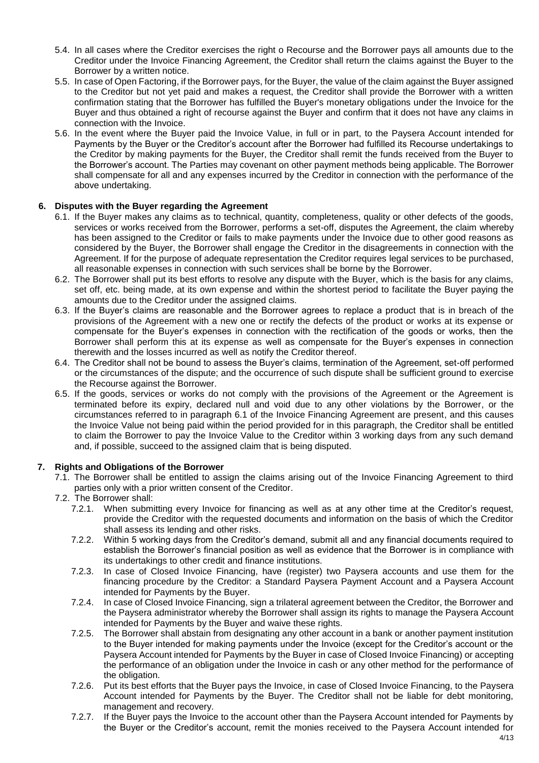- 5.4. In all cases where the Creditor exercises the right o Recourse and the Borrower pays all amounts due to the Creditor under the Invoice Financing Agreement, the Creditor shall return the claims against the Buyer to the Borrower by a written notice.
- 5.5. In case of Open Factoring, if the Borrower pays, for the Buyer, the value of the claim against the Buyer assigned to the Creditor but not yet paid and makes a request, the Creditor shall provide the Borrower with a written confirmation stating that the Borrower has fulfilled the Buyer's monetary obligations under the Invoice for the Buyer and thus obtained a right of recourse against the Buyer and confirm that it does not have any claims in connection with the Invoice.
- 5.6. In the event where the Buyer paid the Invoice Value, in full or in part, to the Paysera Account intended for Payments by the Buyer or the Creditor's account after the Borrower had fulfilled its Recourse undertakings to the Creditor by making payments for the Buyer, the Creditor shall remit the funds received from the Buyer to the Borrower's account. The Parties may covenant on other payment methods being applicable. The Borrower shall compensate for all and any expenses incurred by the Creditor in connection with the performance of the above undertaking.

### **6. Disputes with the Buyer regarding the Agreement**

- 6.1. If the Buyer makes any claims as to technical, quantity, completeness, quality or other defects of the goods, services or works received from the Borrower, performs a set-off, disputes the Agreement, the claim whereby has been assigned to the Creditor or fails to make payments under the Invoice due to other good reasons as considered by the Buyer, the Borrower shall engage the Creditor in the disagreements in connection with the Agreement. If for the purpose of adequate representation the Creditor requires legal services to be purchased, all reasonable expenses in connection with such services shall be borne by the Borrower.
- 6.2. The Borrower shall put its best efforts to resolve any dispute with the Buyer, which is the basis for any claims, set off, etc. being made, at its own expense and within the shortest period to facilitate the Buyer paying the amounts due to the Creditor under the assigned claims.
- 6.3. If the Buyer's claims are reasonable and the Borrower agrees to replace a product that is in breach of the provisions of the Agreement with a new one or rectify the defects of the product or works at its expense or compensate for the Buyer's expenses in connection with the rectification of the goods or works, then the Borrower shall perform this at its expense as well as compensate for the Buyer's expenses in connection therewith and the losses incurred as well as notify the Creditor thereof.
- 6.4. The Creditor shall not be bound to assess the Buyer's claims, termination of the Agreement, set-off performed or the circumstances of the dispute; and the occurrence of such dispute shall be sufficient ground to exercise the Recourse against the Borrower.
- 6.5. If the goods, services or works do not comply with the provisions of the Agreement or the Agreement is terminated before its expiry, declared null and void due to any other violations by the Borrower, or the circumstances referred to in paragraph 6.1 of the Invoice Financing Agreement are present, and this causes the Invoice Value not being paid within the period provided for in this paragraph, the Creditor shall be entitled to claim the Borrower to pay the Invoice Value to the Creditor within 3 working days from any such demand and, if possible, succeed to the assigned claim that is being disputed.

### **7. Rights and Obligations of the Borrower**

- 7.1. The Borrower shall be entitled to assign the claims arising out of the Invoice Financing Agreement to third parties only with a prior written consent of the Creditor.
- 7.2. The Borrower shall:
	- 7.2.1. When submitting every Invoice for financing as well as at any other time at the Creditor's request, provide the Creditor with the requested documents and information on the basis of which the Creditor shall assess its lending and other risks.
	- 7.2.2. Within 5 working days from the Creditor's demand, submit all and any financial documents required to establish the Borrower's financial position as well as evidence that the Borrower is in compliance with its undertakings to other credit and finance institutions.
	- 7.2.3. In case of Closed Invoice Financing, have (register) two Paysera accounts and use them for the financing procedure by the Creditor: a Standard Paysera Payment Account and a Paysera Account intended for Payments by the Buyer.
	- 7.2.4. In case of Closed Invoice Financing, sign a trilateral agreement between the Creditor, the Borrower and the Paysera administrator whereby the Borrower shall assign its rights to manage the Paysera Account intended for Payments by the Buyer and waive these rights.
	- 7.2.5. The Borrower shall abstain from designating any other account in a bank or another payment institution to the Buyer intended for making payments under the Invoice (except for the Creditor's account or the Paysera Account intended for Payments by the Buyer in case of Closed Invoice Financing) or accepting the performance of an obligation under the Invoice in cash or any other method for the performance of the obligation.
	- 7.2.6. Put its best efforts that the Buyer pays the Invoice, in case of Closed Invoice Financing, to the Paysera Account intended for Payments by the Buyer. The Creditor shall not be liable for debt monitoring, management and recovery.
	- 7.2.7. If the Buyer pays the Invoice to the account other than the Paysera Account intended for Payments by the Buyer or the Creditor's account, remit the monies received to the Paysera Account intended for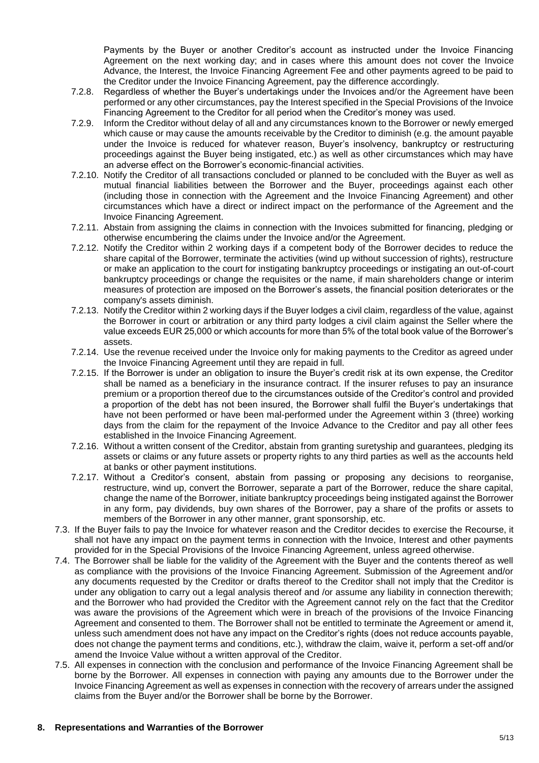Payments by the Buyer or another Creditor's account as instructed under the Invoice Financing Agreement on the next working day; and in cases where this amount does not cover the Invoice Advance, the Interest, the Invoice Financing Agreement Fee and other payments agreed to be paid to the Creditor under the Invoice Financing Agreement, pay the difference accordingly.

- 7.2.8. Regardless of whether the Buyer's undertakings under the Invoices and/or the Agreement have been performed or any other circumstances, pay the Interest specified in the Special Provisions of the Invoice Financing Agreement to the Creditor for all period when the Creditor's money was used.
- 7.2.9. Inform the Creditor without delay of all and any circumstances known to the Borrower or newly emerged which cause or may cause the amounts receivable by the Creditor to diminish (e.g. the amount payable under the Invoice is reduced for whatever reason, Buyer's insolvency, bankruptcy or restructuring proceedings against the Buyer being instigated, etc.) as well as other circumstances which may have an adverse effect on the Borrower's economic-financial activities.
- 7.2.10. Notify the Creditor of all transactions concluded or planned to be concluded with the Buyer as well as mutual financial liabilities between the Borrower and the Buyer, proceedings against each other (including those in connection with the Agreement and the Invoice Financing Agreement) and other circumstances which have a direct or indirect impact on the performance of the Agreement and the Invoice Financing Agreement.
- 7.2.11. Abstain from assigning the claims in connection with the Invoices submitted for financing, pledging or otherwise encumbering the claims under the Invoice and/or the Agreement.
- 7.2.12. Notify the Creditor within 2 working days if a competent body of the Borrower decides to reduce the share capital of the Borrower, terminate the activities (wind up without succession of rights), restructure or make an application to the court for instigating bankruptcy proceedings or instigating an out-of-court bankruptcy proceedings or change the requisites or the name, if main shareholders change or interim measures of protection are imposed on the Borrower's assets, the financial position deteriorates or the company's assets diminish.
- 7.2.13. Notify the Creditor within 2 working days if the Buyer lodges a civil claim, regardless of the value, against the Borrower in court or arbitration or any third party lodges a civil claim against the Seller where the value exceeds EUR 25,000 or which accounts for more than 5% of the total book value of the Borrower's assets.
- 7.2.14. Use the revenue received under the Invoice only for making payments to the Creditor as agreed under the Invoice Financing Agreement until they are repaid in full.
- 7.2.15. If the Borrower is under an obligation to insure the Buyer's credit risk at its own expense, the Creditor shall be named as a beneficiary in the insurance contract. If the insurer refuses to pay an insurance premium or a proportion thereof due to the circumstances outside of the Creditor's control and provided a proportion of the debt has not been insured, the Borrower shall fulfil the Buyer's undertakings that have not been performed or have been mal-performed under the Agreement within 3 (three) working days from the claim for the repayment of the Invoice Advance to the Creditor and pay all other fees established in the Invoice Financing Agreement.
- 7.2.16. Without a written consent of the Creditor, abstain from granting suretyship and guarantees, pledging its assets or claims or any future assets or property rights to any third parties as well as the accounts held at banks or other payment institutions.
- 7.2.17. Without a Creditor's consent, abstain from passing or proposing any decisions to reorganise, restructure, wind up, convert the Borrower, separate a part of the Borrower, reduce the share capital, change the name of the Borrower, initiate bankruptcy proceedings being instigated against the Borrower in any form, pay dividends, buy own shares of the Borrower, pay a share of the profits or assets to members of the Borrower in any other manner, grant sponsorship, etc.
- 7.3. If the Buyer fails to pay the Invoice for whatever reason and the Creditor decides to exercise the Recourse, it shall not have any impact on the payment terms in connection with the Invoice, Interest and other payments provided for in the Special Provisions of the Invoice Financing Agreement, unless agreed otherwise.
- 7.4. The Borrower shall be liable for the validity of the Agreement with the Buyer and the contents thereof as well as compliance with the provisions of the Invoice Financing Agreement. Submission of the Agreement and/or any documents requested by the Creditor or drafts thereof to the Creditor shall not imply that the Creditor is under any obligation to carry out a legal analysis thereof and /or assume any liability in connection therewith; and the Borrower who had provided the Creditor with the Agreement cannot rely on the fact that the Creditor was aware the provisions of the Agreement which were in breach of the provisions of the Invoice Financing Agreement and consented to them. The Borrower shall not be entitled to terminate the Agreement or amend it, unless such amendment does not have any impact on the Creditor's rights (does not reduce accounts payable, does not change the payment terms and conditions, etc.), withdraw the claim, waive it, perform a set-off and/or amend the Invoice Value without a written approval of the Creditor.
- 7.5. All expenses in connection with the conclusion and performance of the Invoice Financing Agreement shall be borne by the Borrower. All expenses in connection with paying any amounts due to the Borrower under the Invoice Financing Agreement as well as expenses in connection with the recovery of arrears under the assigned claims from the Buyer and/or the Borrower shall be borne by the Borrower.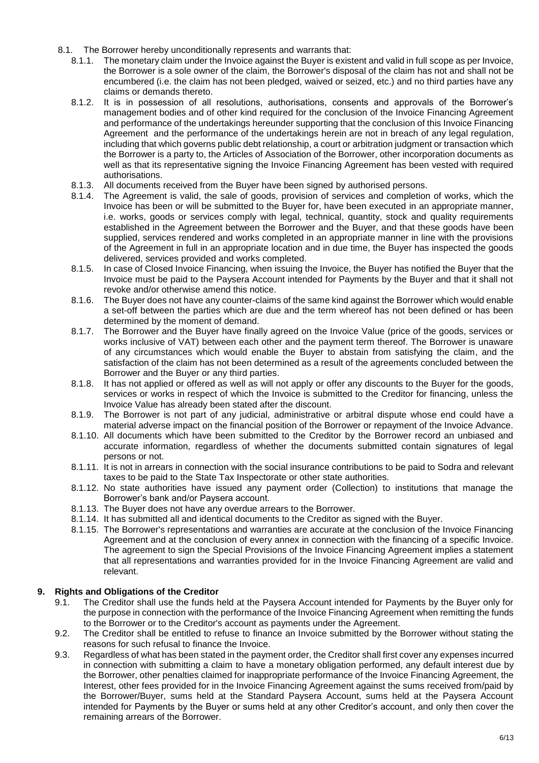- 8.1. The Borrower hereby unconditionally represents and warrants that:
	- 8.1.1. The monetary claim under the Invoice against the Buyer is existent and valid in full scope as per Invoice, the Borrower is a sole owner of the claim, the Borrower's disposal of the claim has not and shall not be encumbered (i.e. the claim has not been pledged, waived or seized, etc.) and no third parties have any claims or demands thereto.
	- 8.1.2. It is in possession of all resolutions, authorisations, consents and approvals of the Borrower's management bodies and of other kind required for the conclusion of the Invoice Financing Agreement and performance of the undertakings hereunder supporting that the conclusion of this Invoice Financing Agreement and the performance of the undertakings herein are not in breach of any legal regulation, including that which governs public debt relationship, a court or arbitration judgment or transaction which the Borrower is a party to, the Articles of Association of the Borrower, other incorporation documents as well as that its representative signing the Invoice Financing Agreement has been vested with required authorisations.
	- 8.1.3. All documents received from the Buyer have been signed by authorised persons.<br>8.1.4. The Agreement is valid, the sale of goods, provision of services and completion
	- The Agreement is valid, the sale of goods, provision of services and completion of works, which the Invoice has been or will be submitted to the Buyer for, have been executed in an appropriate manner, i.e. works, goods or services comply with legal, technical, quantity, stock and quality requirements established in the Agreement between the Borrower and the Buyer, and that these goods have been supplied, services rendered and works completed in an appropriate manner in line with the provisions of the Agreement in full in an appropriate location and in due time, the Buyer has inspected the goods delivered, services provided and works completed.
	- 8.1.5. In case of Closed Invoice Financing, when issuing the Invoice, the Buyer has notified the Buyer that the Invoice must be paid to the Paysera Account intended for Payments by the Buyer and that it shall not revoke and/or otherwise amend this notice.
	- 8.1.6. The Buyer does not have any counter-claims of the same kind against the Borrower which would enable a set-off between the parties which are due and the term whereof has not been defined or has been determined by the moment of demand.
	- 8.1.7. The Borrower and the Buyer have finally agreed on the Invoice Value (price of the goods, services or works inclusive of VAT) between each other and the payment term thereof. The Borrower is unaware of any circumstances which would enable the Buyer to abstain from satisfying the claim, and the satisfaction of the claim has not been determined as a result of the agreements concluded between the Borrower and the Buyer or any third parties.
	- 8.1.8. It has not applied or offered as well as will not apply or offer any discounts to the Buyer for the goods, services or works in respect of which the Invoice is submitted to the Creditor for financing, unless the Invoice Value has already been stated after the discount.
	- 8.1.9. The Borrower is not part of any judicial, administrative or arbitral dispute whose end could have a material adverse impact on the financial position of the Borrower or repayment of the Invoice Advance.
	- 8.1.10. All documents which have been submitted to the Creditor by the Borrower record an unbiased and accurate information, regardless of whether the documents submitted contain signatures of legal persons or not.
	- 8.1.11. It is not in arrears in connection with the social insurance contributions to be paid to Sodra and relevant taxes to be paid to the State Tax Inspectorate or other state authorities.
	- 8.1.12. No state authorities have issued any payment order (Collection) to institutions that manage the Borrower's bank and/or Paysera account.
	- 8.1.13. The Buyer does not have any overdue arrears to the Borrower.
	- 8.1.14. It has submitted all and identical documents to the Creditor as signed with the Buyer.
	- 8.1.15. The Borrower's representations and warranties are accurate at the conclusion of the Invoice Financing Agreement and at the conclusion of every annex in connection with the financing of a specific Invoice. The agreement to sign the Special Provisions of the Invoice Financing Agreement implies a statement that all representations and warranties provided for in the Invoice Financing Agreement are valid and relevant.

### **9. Rights and Obligations of the Creditor**

- 9.1. The Creditor shall use the funds held at the Paysera Account intended for Payments by the Buyer only for the purpose in connection with the performance of the Invoice Financing Agreement when remitting the funds to the Borrower or to the Creditor's account as payments under the Agreement.
- 9.2. The Creditor shall be entitled to refuse to finance an Invoice submitted by the Borrower without stating the reasons for such refusal to finance the Invoice.
- 9.3. Regardless of what has been stated in the payment order, the Creditor shall first cover any expenses incurred in connection with submitting a claim to have a monetary obligation performed, any default interest due by the Borrower, other penalties claimed for inappropriate performance of the Invoice Financing Agreement, the Interest, other fees provided for in the Invoice Financing Agreement against the sums received from/paid by the Borrower/Buyer, sums held at the Standard Paysera Account, sums held at the Paysera Account intended for Payments by the Buyer or sums held at any other Creditor's account, and only then cover the remaining arrears of the Borrower.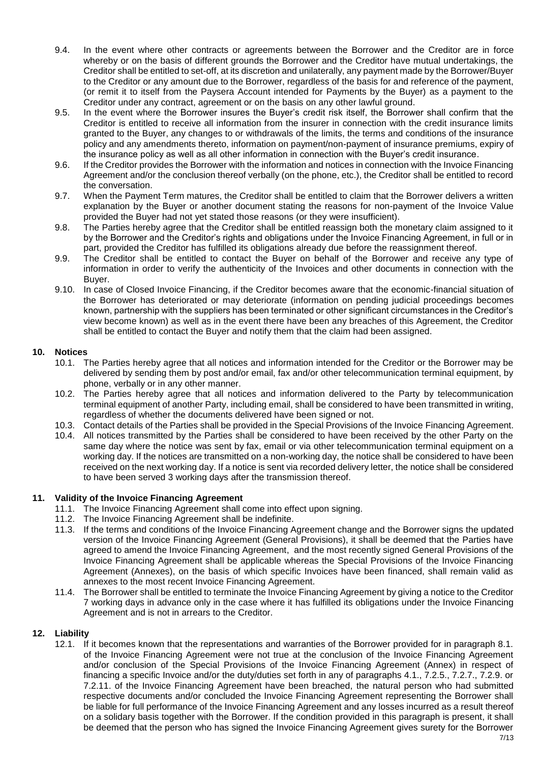- 9.4. In the event where other contracts or agreements between the Borrower and the Creditor are in force whereby or on the basis of different grounds the Borrower and the Creditor have mutual undertakings, the Creditor shall be entitled to set-off, at its discretion and unilaterally, any payment made by the Borrower/Buyer to the Creditor or any amount due to the Borrower, regardless of the basis for and reference of the payment, (or remit it to itself from the Paysera Account intended for Payments by the Buyer) as a payment to the Creditor under any contract, agreement or on the basis on any other lawful ground.
- 9.5. In the event where the Borrower insures the Buyer's credit risk itself, the Borrower shall confirm that the Creditor is entitled to receive all information from the insurer in connection with the credit insurance limits granted to the Buyer, any changes to or withdrawals of the limits, the terms and conditions of the insurance policy and any amendments thereto, information on payment/non-payment of insurance premiums, expiry of the insurance policy as well as all other information in connection with the Buyer's credit insurance.
- 9.6. If the Creditor provides the Borrower with the information and notices in connection with the Invoice Financing Agreement and/or the conclusion thereof verbally (on the phone, etc.), the Creditor shall be entitled to record the conversation.
- 9.7. When the Payment Term matures, the Creditor shall be entitled to claim that the Borrower delivers a written explanation by the Buyer or another document stating the reasons for non-payment of the Invoice Value provided the Buyer had not yet stated those reasons (or they were insufficient).
- 9.8. The Parties hereby agree that the Creditor shall be entitled reassign both the monetary claim assigned to it by the Borrower and the Creditor's rights and obligations under the Invoice Financing Agreement, in full or in part, provided the Creditor has fulfilled its obligations already due before the reassignment thereof.
- 9.9. The Creditor shall be entitled to contact the Buyer on behalf of the Borrower and receive any type of information in order to verify the authenticity of the Invoices and other documents in connection with the Buyer.
- 9.10. In case of Closed Invoice Financing, if the Creditor becomes aware that the economic-financial situation of the Borrower has deteriorated or may deteriorate (information on pending judicial proceedings becomes known, partnership with the suppliers has been terminated or other significant circumstances in the Creditor's view become known) as well as in the event there have been any breaches of this Agreement, the Creditor shall be entitled to contact the Buyer and notify them that the claim had been assigned.

### **10. Notices**

- 10.1. The Parties hereby agree that all notices and information intended for the Creditor or the Borrower may be delivered by sending them by post and/or email, fax and/or other telecommunication terminal equipment, by phone, verbally or in any other manner.
- 10.2. The Parties hereby agree that all notices and information delivered to the Party by telecommunication terminal equipment of another Party, including email, shall be considered to have been transmitted in writing, regardless of whether the documents delivered have been signed or not.
- 10.3. Contact details of the Parties shall be provided in the Special Provisions of the Invoice Financing Agreement.
- 10.4. All notices transmitted by the Parties shall be considered to have been received by the other Party on the same day where the notice was sent by fax, email or via other telecommunication terminal equipment on a working day. If the notices are transmitted on a non-working day, the notice shall be considered to have been received on the next working day. If a notice is sent via recorded delivery letter, the notice shall be considered to have been served 3 working days after the transmission thereof.

### **11. Validity of the Invoice Financing Agreement**

- 11.1. The Invoice Financing Agreement shall come into effect upon signing.
- 11.2. The Invoice Financing Agreement shall be indefinite.
- 11.3. If the terms and conditions of the Invoice Financing Agreement change and the Borrower signs the updated version of the Invoice Financing Agreement (General Provisions), it shall be deemed that the Parties have agreed to amend the Invoice Financing Agreement, and the most recently signed General Provisions of the Invoice Financing Agreement shall be applicable whereas the Special Provisions of the Invoice Financing Agreement (Annexes), on the basis of which specific Invoices have been financed, shall remain valid as annexes to the most recent Invoice Financing Agreement.
- 11.4. The Borrower shall be entitled to terminate the Invoice Financing Agreement by giving a notice to the Creditor 7 working days in advance only in the case where it has fulfilled its obligations under the Invoice Financing Agreement and is not in arrears to the Creditor.

### **12. Liability**

12.1. If it becomes known that the representations and warranties of the Borrower provided for in paragraph 8.1. of the Invoice Financing Agreement were not true at the conclusion of the Invoice Financing Agreement and/or conclusion of the Special Provisions of the Invoice Financing Agreement (Annex) in respect of financing a specific Invoice and/or the duty/duties set forth in any of paragraphs 4.1., 7.2.5., 7.2.7., 7.2.9. or 7.2.11. of the Invoice Financing Agreement have been breached, the natural person who had submitted respective documents and/or concluded the Invoice Financing Agreement representing the Borrower shall be liable for full performance of the Invoice Financing Agreement and any losses incurred as a result thereof on a solidary basis together with the Borrower. If the condition provided in this paragraph is present, it shall be deemed that the person who has signed the Invoice Financing Agreement gives surety for the Borrower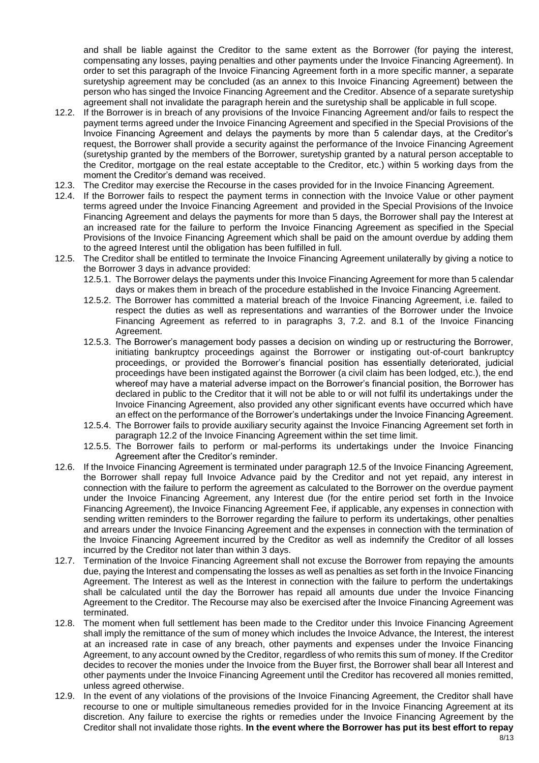and shall be liable against the Creditor to the same extent as the Borrower (for paying the interest, compensating any losses, paying penalties and other payments under the Invoice Financing Agreement). In order to set this paragraph of the Invoice Financing Agreement forth in a more specific manner, a separate suretyship agreement may be concluded (as an annex to this Invoice Financing Agreement) between the person who has singed the Invoice Financing Agreement and the Creditor. Absence of a separate suretyship agreement shall not invalidate the paragraph herein and the suretyship shall be applicable in full scope.

- 12.2. If the Borrower is in breach of any provisions of the Invoice Financing Agreement and/or fails to respect the payment terms agreed under the Invoice Financing Agreement and specified in the Special Provisions of the Invoice Financing Agreement and delays the payments by more than 5 calendar days, at the Creditor's request, the Borrower shall provide a security against the performance of the Invoice Financing Agreement (suretyship granted by the members of the Borrower, suretyship granted by a natural person acceptable to the Creditor, mortgage on the real estate acceptable to the Creditor, etc.) within 5 working days from the moment the Creditor's demand was received.
- 12.3. The Creditor may exercise the Recourse in the cases provided for in the Invoice Financing Agreement.
- 12.4. If the Borrower fails to respect the payment terms in connection with the Invoice Value or other payment terms agreed under the Invoice Financing Agreement and provided in the Special Provisions of the Invoice Financing Agreement and delays the payments for more than 5 days, the Borrower shall pay the Interest at an increased rate for the failure to perform the Invoice Financing Agreement as specified in the Special Provisions of the Invoice Financing Agreement which shall be paid on the amount overdue by adding them to the agreed Interest until the obligation has been fulfilled in full.
- 12.5. The Creditor shall be entitled to terminate the Invoice Financing Agreement unilaterally by giving a notice to the Borrower 3 days in advance provided:
	- 12.5.1. The Borrower delays the payments under this Invoice Financing Agreement for more than 5 calendar days or makes them in breach of the procedure established in the Invoice Financing Agreement.
	- 12.5.2. The Borrower has committed a material breach of the Invoice Financing Agreement, i.e. failed to respect the duties as well as representations and warranties of the Borrower under the Invoice Financing Agreement as referred to in paragraphs 3, 7.2. and 8.1 of the Invoice Financing Agreement.
	- 12.5.3. The Borrower's management body passes a decision on winding up or restructuring the Borrower, initiating bankruptcy proceedings against the Borrower or instigating out-of-court bankruptcy proceedings, or provided the Borrower's financial position has essentially deteriorated, judicial proceedings have been instigated against the Borrower (a civil claim has been lodged, etc.), the end whereof may have a material adverse impact on the Borrower's financial position, the Borrower has declared in public to the Creditor that it will not be able to or will not fulfil its undertakings under the Invoice Financing Agreement, also provided any other significant events have occurred which have an effect on the performance of the Borrower's undertakings under the Invoice Financing Agreement.
	- 12.5.4. The Borrower fails to provide auxiliary security against the Invoice Financing Agreement set forth in paragraph 12.2 of the Invoice Financing Agreement within the set time limit.
	- 12.5.5. The Borrower fails to perform or mal-performs its undertakings under the Invoice Financing Agreement after the Creditor's reminder.
- 12.6. If the Invoice Financing Agreement is terminated under paragraph 12.5 of the Invoice Financing Agreement, the Borrower shall repay full Invoice Advance paid by the Creditor and not yet repaid, any interest in connection with the failure to perform the agreement as calculated to the Borrower on the overdue payment under the Invoice Financing Agreement, any Interest due (for the entire period set forth in the Invoice Financing Agreement), the Invoice Financing Agreement Fee, if applicable, any expenses in connection with sending written reminders to the Borrower regarding the failure to perform its undertakings, other penalties and arrears under the Invoice Financing Agreement and the expenses in connection with the termination of the Invoice Financing Agreement incurred by the Creditor as well as indemnify the Creditor of all losses incurred by the Creditor not later than within 3 days.
- 12.7. Termination of the Invoice Financing Agreement shall not excuse the Borrower from repaying the amounts due, paying the Interest and compensating the losses as well as penalties as set forth in the Invoice Financing Agreement. The Interest as well as the Interest in connection with the failure to perform the undertakings shall be calculated until the day the Borrower has repaid all amounts due under the Invoice Financing Agreement to the Creditor. The Recourse may also be exercised after the Invoice Financing Agreement was terminated.
- 12.8. The moment when full settlement has been made to the Creditor under this Invoice Financing Agreement shall imply the remittance of the sum of money which includes the Invoice Advance, the Interest, the interest at an increased rate in case of any breach, other payments and expenses under the Invoice Financing Agreement, to any account owned by the Creditor, regardless of who remits this sum of money. If the Creditor decides to recover the monies under the Invoice from the Buyer first, the Borrower shall bear all Interest and other payments under the Invoice Financing Agreement until the Creditor has recovered all monies remitted, unless agreed otherwise.
- 12.9. In the event of any violations of the provisions of the Invoice Financing Agreement, the Creditor shall have recourse to one or multiple simultaneous remedies provided for in the Invoice Financing Agreement at its discretion. Any failure to exercise the rights or remedies under the Invoice Financing Agreement by the Creditor shall not invalidate those rights. **In the event where the Borrower has put its best effort to repay**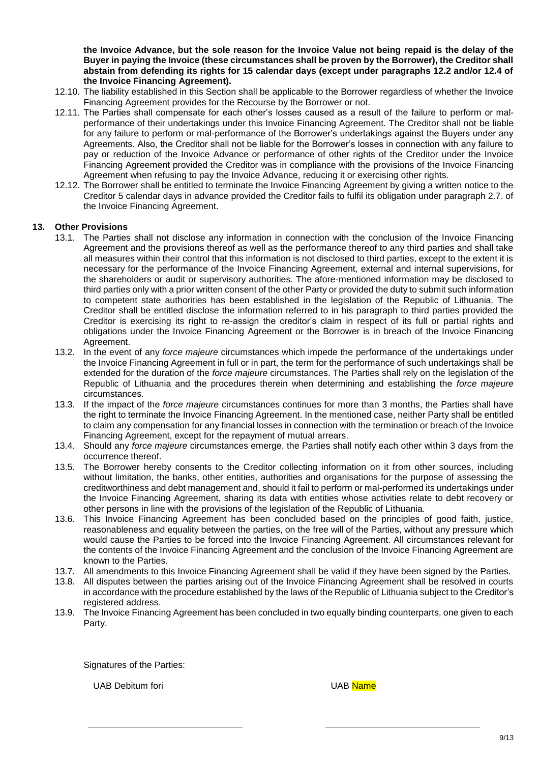**the Invoice Advance, but the sole reason for the Invoice Value not being repaid is the delay of the Buyer in paying the Invoice (these circumstances shall be proven by the Borrower), the Creditor shall abstain from defending its rights for 15 calendar days (except under paragraphs 12.2 and/or 12.4 of the Invoice Financing Agreement).**

- 12.10. The liability established in this Section shall be applicable to the Borrower regardless of whether the Invoice Financing Agreement provides for the Recourse by the Borrower or not.
- 12.11. The Parties shall compensate for each other's losses caused as a result of the failure to perform or malperformance of their undertakings under this Invoice Financing Agreement. The Creditor shall not be liable for any failure to perform or mal-performance of the Borrower's undertakings against the Buyers under any Agreements. Also, the Creditor shall not be liable for the Borrower's losses in connection with any failure to pay or reduction of the Invoice Advance or performance of other rights of the Creditor under the Invoice Financing Agreement provided the Creditor was in compliance with the provisions of the Invoice Financing Agreement when refusing to pay the Invoice Advance, reducing it or exercising other rights.
- 12.12. The Borrower shall be entitled to terminate the Invoice Financing Agreement by giving a written notice to the Creditor 5 calendar days in advance provided the Creditor fails to fulfil its obligation under paragraph 2.7. of the Invoice Financing Agreement.

### **13. Other Provisions**

- 13.1. The Parties shall not disclose any information in connection with the conclusion of the Invoice Financing Agreement and the provisions thereof as well as the performance thereof to any third parties and shall take all measures within their control that this information is not disclosed to third parties, except to the extent it is necessary for the performance of the Invoice Financing Agreement, external and internal supervisions, for the shareholders or audit or supervisory authorities. The afore-mentioned information may be disclosed to third parties only with a prior written consent of the other Party or provided the duty to submit such information to competent state authorities has been established in the legislation of the Republic of Lithuania. The Creditor shall be entitled disclose the information referred to in his paragraph to third parties provided the Creditor is exercising its right to re-assign the creditor's claim in respect of its full or partial rights and obligations under the Invoice Financing Agreement or the Borrower is in breach of the Invoice Financing Agreement.
- 13.2. In the event of any *force majeure* circumstances which impede the performance of the undertakings under the Invoice Financing Agreement in full or in part, the term for the performance of such undertakings shall be extended for the duration of the *force majeure* circumstances. The Parties shall rely on the legislation of the Republic of Lithuania and the procedures therein when determining and establishing the *force majeure* circumstances.
- 13.3. If the impact of the *force majeure* circumstances continues for more than 3 months, the Parties shall have the right to terminate the Invoice Financing Agreement. In the mentioned case, neither Party shall be entitled to claim any compensation for any financial losses in connection with the termination or breach of the Invoice Financing Agreement, except for the repayment of mutual arrears.
- 13.4. Should any *force majeure* circumstances emerge, the Parties shall notify each other within 3 days from the occurrence thereof.
- 13.5. The Borrower hereby consents to the Creditor collecting information on it from other sources, including without limitation, the banks, other entities, authorities and organisations for the purpose of assessing the creditworthiness and debt management and, should it fail to perform or mal-performed its undertakings under the Invoice Financing Agreement, sharing its data with entities whose activities relate to debt recovery or other persons in line with the provisions of the legislation of the Republic of Lithuania.
- 13.6. This Invoice Financing Agreement has been concluded based on the principles of good faith, justice, reasonableness and equality between the parties, on the free will of the Parties, without any pressure which would cause the Parties to be forced into the Invoice Financing Agreement. All circumstances relevant for the contents of the Invoice Financing Agreement and the conclusion of the Invoice Financing Agreement are known to the Parties.
- 13.7. All amendments to this Invoice Financing Agreement shall be valid if they have been signed by the Parties.
- 13.8. All disputes between the parties arising out of the Invoice Financing Agreement shall be resolved in courts in accordance with the procedure established by the laws of the Republic of Lithuania subject to the Creditor's registered address.
- 13.9. The Invoice Financing Agreement has been concluded in two equally binding counterparts, one given to each Party.

Signatures of the Parties:

UAB Debitum fori **UAB Name**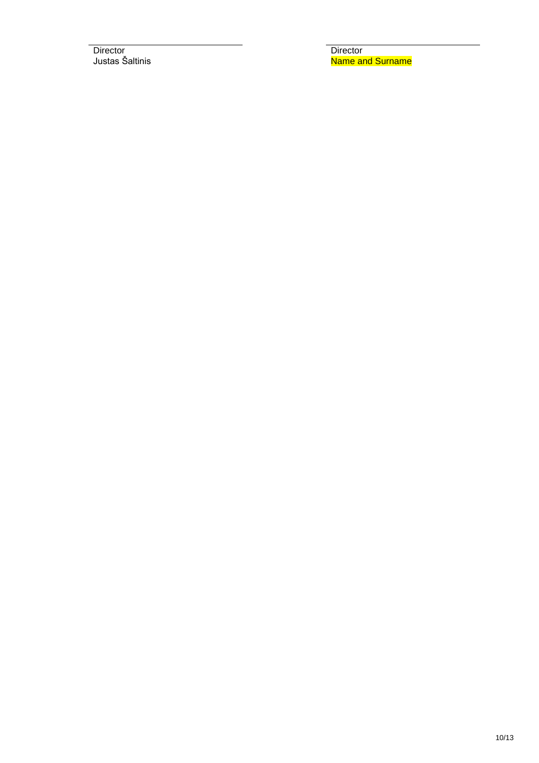Director<br>
Justas Šaltinis<br>
2001 - Director<br>
Director<br>
Name an

Name and Surname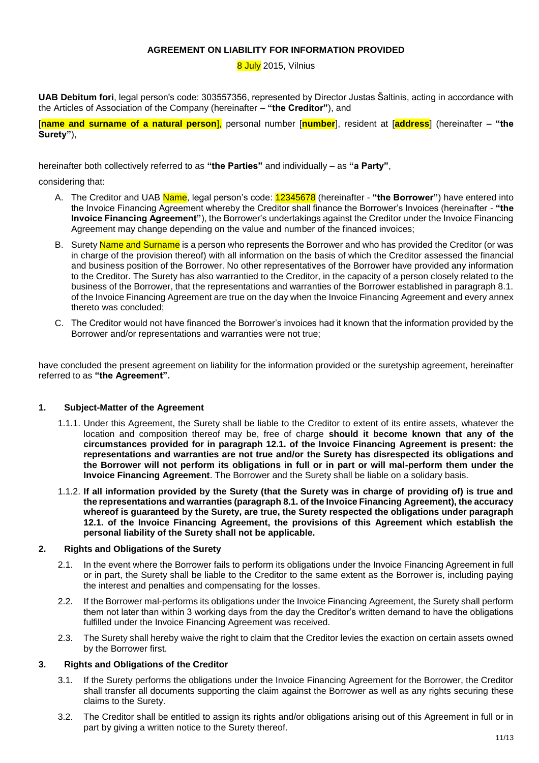#### **AGREEMENT ON LIABILITY FOR INFORMATION PROVIDED**

8 July 2015, Vilnius

**UAB Debitum fori**, legal person's code: 303557356, represented by Director Justas Šaltinis, acting in accordance with the Articles of Association of the Company (hereinafter – **"the Creditor"**), and

[**name and surname of a natural person**], personal number [**number**], resident at [**address**] (hereinafter – **"the Surety"**),

hereinafter both collectively referred to as **"the Parties"** and individually – as **"a Party"**,

considering that:

- A. The Creditor and UAB Name, legal person's code: 12345678 (hereinafter **"the Borrower"**) have entered into the Invoice Financing Agreement whereby the Creditor shall finance the Borrower's Invoices (hereinafter - **"the Invoice Financing Agreement"**), the Borrower's undertakings against the Creditor under the Invoice Financing Agreement may change depending on the value and number of the financed invoices;
- B. Surety **Name and Surname** is a person who represents the Borrower and who has provided the Creditor (or was in charge of the provision thereof) with all information on the basis of which the Creditor assessed the financial and business position of the Borrower. No other representatives of the Borrower have provided any information to the Creditor. The Surety has also warrantied to the Creditor, in the capacity of a person closely related to the business of the Borrower, that the representations and warranties of the Borrower established in paragraph 8.1. of the Invoice Financing Agreement are true on the day when the Invoice Financing Agreement and every annex thereto was concluded;
- C. The Creditor would not have financed the Borrower's invoices had it known that the information provided by the Borrower and/or representations and warranties were not true;

have concluded the present agreement on liability for the information provided or the suretyship agreement, hereinafter referred to as **"the Agreement".**

#### **1. Subject-Matter of the Agreement**

- 1.1.1. Under this Agreement, the Surety shall be liable to the Creditor to extent of its entire assets, whatever the location and composition thereof may be, free of charge **should it become known that any of the circumstances provided for in paragraph 12.1. of the Invoice Financing Agreement is present: the representations and warranties are not true and/or the Surety has disrespected its obligations and the Borrower will not perform its obligations in full or in part or will mal-perform them under the Invoice Financing Agreement**. The Borrower and the Surety shall be liable on a solidary basis.
- 1.1.2. **If all information provided by the Surety (that the Surety was in charge of providing of) is true and the representations and warranties (paragraph 8.1. of the Invoice Financing Agreement), the accuracy whereof is guaranteed by the Surety, are true, the Surety respected the obligations under paragraph 12.1. of the Invoice Financing Agreement, the provisions of this Agreement which establish the personal liability of the Surety shall not be applicable.**

#### **2. Rights and Obligations of the Surety**

- 2.1. In the event where the Borrower fails to perform its obligations under the Invoice Financing Agreement in full or in part, the Surety shall be liable to the Creditor to the same extent as the Borrower is, including paying the interest and penalties and compensating for the losses.
- 2.2. If the Borrower mal-performs its obligations under the Invoice Financing Agreement, the Surety shall perform them not later than within 3 working days from the day the Creditor's written demand to have the obligations fulfilled under the Invoice Financing Agreement was received.
- 2.3. The Surety shall hereby waive the right to claim that the Creditor levies the exaction on certain assets owned by the Borrower first.

#### **3. Rights and Obligations of the Creditor**

- 3.1. If the Surety performs the obligations under the Invoice Financing Agreement for the Borrower, the Creditor shall transfer all documents supporting the claim against the Borrower as well as any rights securing these claims to the Surety.
- 3.2. The Creditor shall be entitled to assign its rights and/or obligations arising out of this Agreement in full or in part by giving a written notice to the Surety thereof.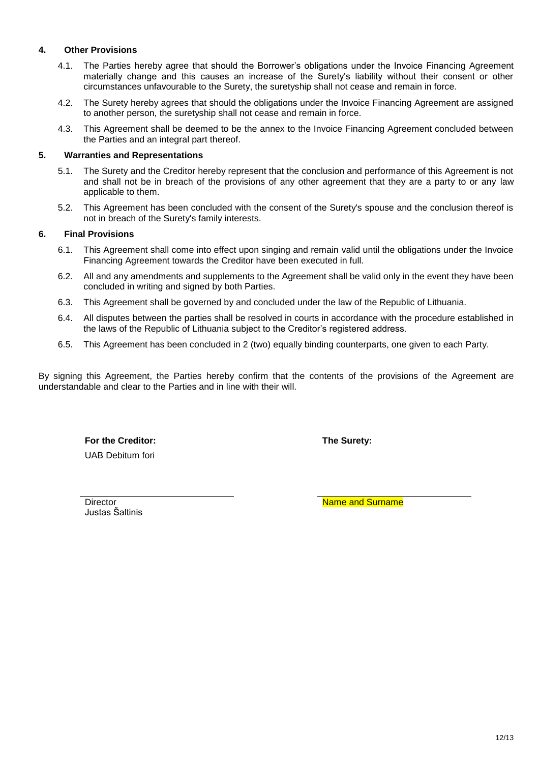### **4. Other Provisions**

- 4.1. The Parties hereby agree that should the Borrower's obligations under the Invoice Financing Agreement materially change and this causes an increase of the Surety's liability without their consent or other circumstances unfavourable to the Surety, the suretyship shall not cease and remain in force.
- 4.2. The Surety hereby agrees that should the obligations under the Invoice Financing Agreement are assigned to another person, the suretyship shall not cease and remain in force.
- 4.3. This Agreement shall be deemed to be the annex to the Invoice Financing Agreement concluded between the Parties and an integral part thereof.

#### **5. Warranties and Representations**

- 5.1. The Surety and the Creditor hereby represent that the conclusion and performance of this Agreement is not and shall not be in breach of the provisions of any other agreement that they are a party to or any law applicable to them.
- 5.2. This Agreement has been concluded with the consent of the Surety's spouse and the conclusion thereof is not in breach of the Surety's family interests.

### **6. Final Provisions**

- 6.1. This Agreement shall come into effect upon singing and remain valid until the obligations under the Invoice Financing Agreement towards the Creditor have been executed in full.
- 6.2. All and any amendments and supplements to the Agreement shall be valid only in the event they have been concluded in writing and signed by both Parties.
- 6.3. This Agreement shall be governed by and concluded under the law of the Republic of Lithuania.
- 6.4. All disputes between the parties shall be resolved in courts in accordance with the procedure established in the laws of the Republic of Lithuania subject to the Creditor's registered address.
- 6.5. This Agreement has been concluded in 2 (two) equally binding counterparts, one given to each Party.

By signing this Agreement, the Parties hereby confirm that the contents of the provisions of the Agreement are understandable and clear to the Parties and in line with their will.

**For the Creditor: The Surety:** UAB Debitum fori

Justas Šaltinis

Director **Name and Surname**